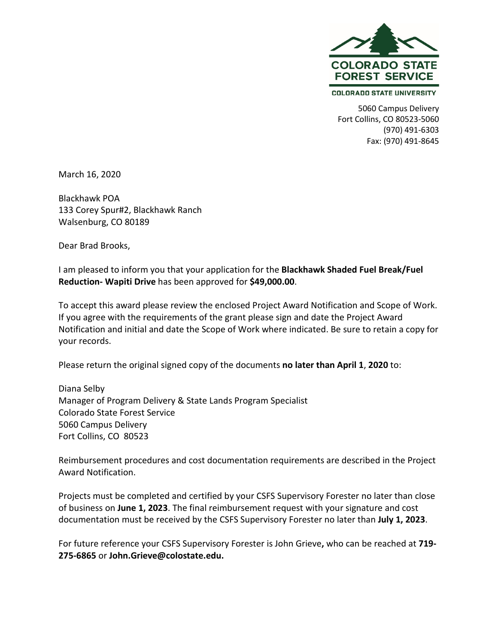

**COLORADO STATE UNIVERSITY** 

5060 Campus Delivery Fort Collins, CO 80523-5060 (970) 491-6303 Fax: (970) 491-8645

March 16, 2020

Blackhawk POA 133 Corey Spur#2, Blackhawk Ranch Walsenburg, CO 80189

Dear Brad Brooks,

I am pleased to inform you that your application for the **Blackhawk Shaded Fuel Break/Fuel Reduction- Wapiti Drive** has been approved for **\$49,000.00**.

To accept this award please review the enclosed Project Award Notification and Scope of Work. If you agree with the requirements of the grant please sign and date the Project Award Notification and initial and date the Scope of Work where indicated. Be sure to retain a copy for your records.

Please return the original signed copy of the documents **no later than April 1**, **2020** to:

Diana Selby Manager of Program Delivery & State Lands Program Specialist Colorado State Forest Service 5060 Campus Delivery Fort Collins, CO 80523

Reimbursement procedures and cost documentation requirements are described in the Project Award Notification.

Projects must be completed and certified by your CSFS Supervisory Forester no later than close of business on **June 1, 2023**. The final reimbursement request with your signature and cost documentation must be received by the CSFS Supervisory Forester no later than **July 1, 2023**.

For future reference your CSFS Supervisory Forester is John Grieve**,** who can be reached at **719- 275-6865** or **John.Grieve@colostate.edu.**